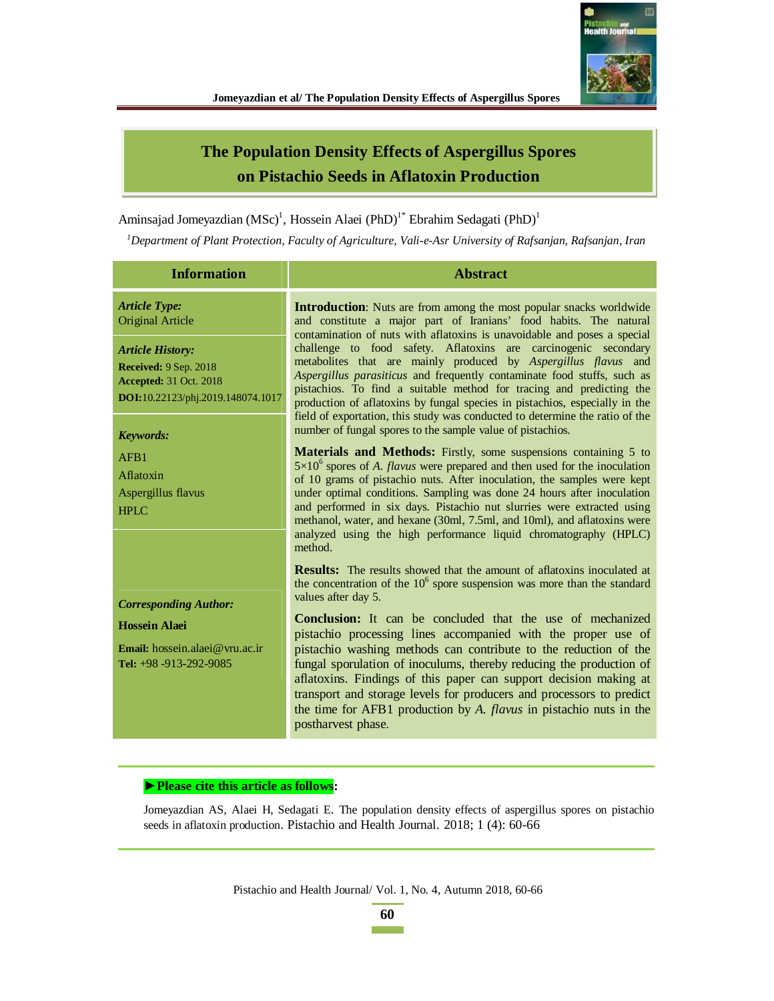

# **The Population Density Effects of Aspergillus Spores on Pistachio Seeds in Aflatoxin Production**

Aminsajad Jomeyazdian (MSc)<sup>1</sup>, Hossein Alaei (PhD)<sup>1\*</sup> Ebrahim Sedagati (PhD)<sup>1</sup>

*<sup>1</sup>Department of Plant Protection, Faculty of Agriculture, Vali-e-Asr University of Rafsanjan, Rafsanjan, Iran*

| <b>Information</b>                                                                                                                                                               | <b>Abstract</b>                                                                                                                                                                                                                                                                                                                                                                                                                                                                                                                                                                                                                                                                                                                                  |
|----------------------------------------------------------------------------------------------------------------------------------------------------------------------------------|--------------------------------------------------------------------------------------------------------------------------------------------------------------------------------------------------------------------------------------------------------------------------------------------------------------------------------------------------------------------------------------------------------------------------------------------------------------------------------------------------------------------------------------------------------------------------------------------------------------------------------------------------------------------------------------------------------------------------------------------------|
| <b>Article Type:</b><br><b>Original Article</b><br><b>Article History:</b><br><b>Received: 9 Sep. 2018</b><br><b>Accepted:</b> 31 Oct. 2018<br>DOI:10.22123/phj.2019.148074.1017 | <b>Introduction:</b> Nuts are from among the most popular snacks worldwide<br>and constitute a major part of Iranians' food habits. The natural<br>contamination of nuts with aflatoxins is unavoidable and poses a special<br>challenge to food safety. Aflatoxins are carcinogenic secondary<br>metabolites that are mainly produced by Aspergillus flavus and<br>Aspergillus parasiticus and frequently contaminate food stuffs, such as<br>pistachios. To find a suitable method for tracing and predicting the<br>production of aflatoxins by fungal species in pistachios, especially in the<br>field of exportation, this study was conducted to determine the ratio of the<br>number of fungal spores to the sample value of pistachios. |
| <b>Keywords:</b>                                                                                                                                                                 |                                                                                                                                                                                                                                                                                                                                                                                                                                                                                                                                                                                                                                                                                                                                                  |
| AFB1<br>Aflatoxin<br>Aspergillus flavus<br>HPLC                                                                                                                                  | <b>Materials and Methods:</b> Firstly, some suspensions containing 5 to<br>$5\times10^6$ spores of A. <i>flavus</i> were prepared and then used for the inoculation<br>of 10 grams of pistachio nuts. After inoculation, the samples were kept<br>under optimal conditions. Sampling was done 24 hours after inoculation<br>and performed in six days. Pistachio nut slurries were extracted using<br>methanol, water, and hexane (30ml, 7.5ml, and 10ml), and aflatoxins were<br>analyzed using the high performance liquid chromatography (HPLC)<br>method.                                                                                                                                                                                    |
|                                                                                                                                                                                  | <b>Results:</b> The results showed that the amount of aflatoxins inoculated at<br>the concentration of the $106$ spore suspension was more than the standard<br>values after day 5.                                                                                                                                                                                                                                                                                                                                                                                                                                                                                                                                                              |
| <b>Corresponding Author:</b><br><b>Hossein Alaei</b><br>Email: hossein.alaei@vru.ac.ir<br>Tel: $+98 - 913 - 292 - 9085$                                                          | <b>Conclusion:</b> It can be concluded that the use of mechanized<br>pistachio processing lines accompanied with the proper use of<br>pistachio washing methods can contribute to the reduction of the<br>fungal sporulation of inoculums, thereby reducing the production of<br>aflatoxins. Findings of this paper can support decision making at<br>transport and storage levels for producers and processors to predict<br>the time for AFB1 production by A. <i>flavus</i> in pistachio nuts in the<br>postharvest phase.                                                                                                                                                                                                                    |

# **★** Please cite this article as follows:

Jomeyazdian AS, Alaei H, Sedagati E. The population density effects of aspergillus spores on pistachio seeds in aflatoxin production. Pistachio and Health Journal. 2018; 1 (4): 60-66

Pistachio and Health Journal/ Vol. 1, No. 4, Autumn 2018, 60-66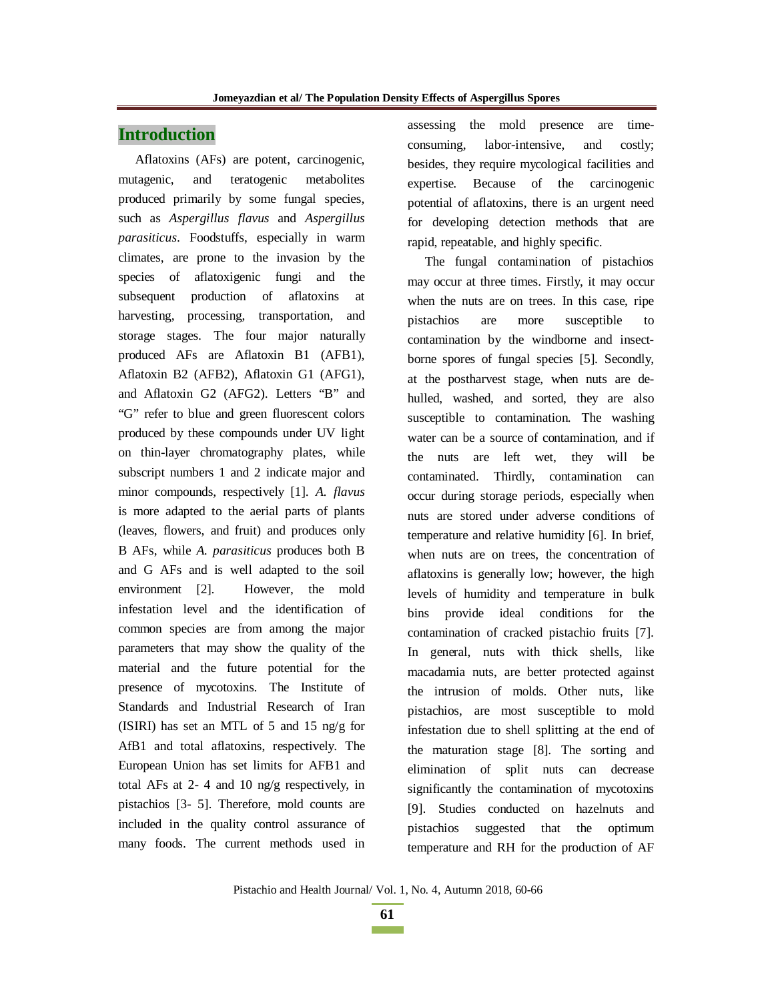# **Introduction**

Aflatoxins (AFs) are potent, carcinogenic, mutagenic, and teratogenic metabolites produced primarily by some fungal species, such as *Aspergillus flavus* and *Aspergillus parasiticus*. Foodstuffs, especially in warm climates, are prone to the invasion by the species of aflatoxigenic fungi and the subsequent production of aflatoxins at harvesting, processing, transportation, and storage stages. The four major naturally produced AFs are Aflatoxin B1 (AFB1), Aflatoxin B2 (AFB2), Aflatoxin G1 (AFG1), and Aflatoxin G2 (AFG2). Letters "B" and "G" refer to blue and green fluorescent colors produced by these compounds under UV light on thin-layer chromatography plates, while subscript numbers 1 and 2 indicate major and minor compounds, respectively [1]. *A. flavus* is more adapted to the aerial parts of plants (leaves, flowers, and fruit) and produces only B AFs, while *A. parasiticus* produces both B and G AFs and is well adapted to the soil environment [2]. However, the mold infestation level and the identification of common species are from among the major parameters that may show the quality of the material and the future potential for the presence of mycotoxins. The Institute of Standards and Industrial Research of Iran (ISIRI) has set an MTL of 5 and 15 ng/g for AfB1 and total aflatoxins, respectively. The European Union has set limits for AFB1 and total AFs at 2- 4 and 10 ng/g respectively, in pistachios [3- 5]. Therefore, mold counts are included in the quality control assurance of many foods. The current methods used in

assessing the mold presence are timeconsuming, labor-intensive, and costly; besides, they require mycological facilities and expertise. Because of the carcinogenic potential of aflatoxins, there is an urgent need for developing detection methods that are rapid, repeatable, and highly specific.

The fungal contamination of pistachios may occur at three times. Firstly, it may occur when the nuts are on trees. In this case, ripe pistachios are more susceptible to contamination by the windborne and insectborne spores of fungal species [5]. Secondly, at the postharvest stage, when nuts are dehulled, washed, and sorted, they are also susceptible to contamination. The washing water can be a source of contamination, and if the nuts are left wet, they will be contaminated. Thirdly, contamination can occur during storage periods, especially when nuts are stored under adverse conditions of temperature and relative humidity [6]. In brief, when nuts are on trees, the concentration of aflatoxins is generally low; however, the high levels of humidity and temperature in bulk bins provide ideal conditions for the contamination of cracked pistachio fruits [7]. In general, nuts with thick shells, like macadamia nuts, are better protected against the intrusion of molds. Other nuts, like pistachios, are most susceptible to mold infestation due to shell splitting at the end of the maturation stage [8]. The sorting and elimination of split nuts can decrease significantly the contamination of mycotoxins [9]. Studies conducted on hazelnuts and pistachios suggested that the optimum temperature and RH for the production of AF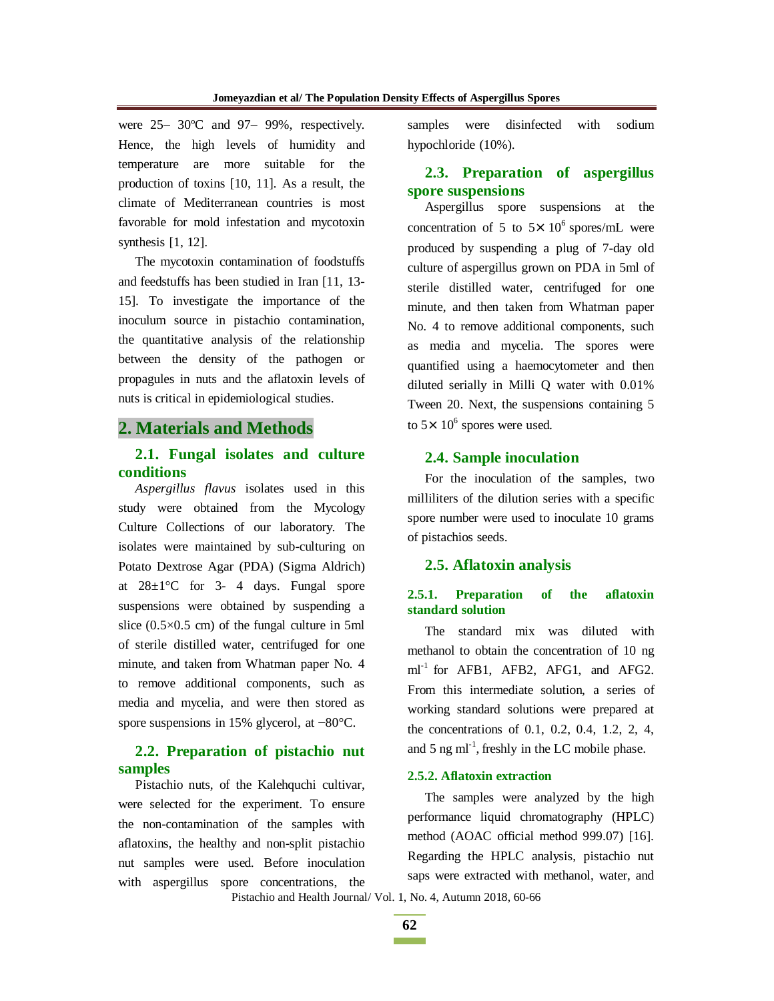were 25– 30ºC and 97– 99%, respectively. Hence, the high levels of humidity and temperature are more suitable for the production of toxins [10, 11]. As a result, the climate of Mediterranean countries is most favorable for mold infestation and mycotoxin synthesis [1, 12].

The mycotoxin contamination of foodstuffs and feedstuffs has been studied in Iran [11, 13- 15]. To investigate the importance of the inoculum source in pistachio contamination, the quantitative analysis of the relationship between the density of the pathogen or propagules in nuts and the aflatoxin levels of nuts is critical in epidemiological studies.

### **2. Materials and Methods**

### **2.1. Fungal isolates and culture conditions**

*Aspergillus flavus* isolates used in this study were obtained from the Mycology Culture Collections of our laboratory. The isolates were maintained by sub-culturing on Potato Dextrose Agar (PDA) (Sigma Aldrich) at  $28 \pm 1$ °C for 3-4 days. Fungal spore suspensions were obtained by suspending a slice (0.5×0.5 cm) of the fungal culture in 5ml of sterile distilled water, centrifuged for one minute, and taken from Whatman paper No. 4 to remove additional components, such as media and mycelia, and were then stored as spore suspensions in 15% glycerol, at  $-80^{\circ}$ C.

# **2.2. Preparation of pistachio nut samples**

Pistachio nuts, of the Kalehquchi cultivar, were selected for the experiment. To ensure the non-contamination of the samples with aflatoxins, the healthy and non-split pistachio nut samples were used. Before inoculation with aspergillus spore concentrations, the samples were disinfected with sodium hypochloride (10%).

# **2.3. Preparation of aspergillus spore suspensions**

Aspergillus spore suspensions at the concentration of 5 to  $5 \times 10^6$  spores/mL were produced by suspending a plug of 7-day old culture of aspergillus grown on PDA in 5ml of sterile distilled water, centrifuged for one minute, and then taken from Whatman paper No. 4 to remove additional components, such as media and mycelia. The spores were quantified using a haemocytometer and then diluted serially in Milli Q water with 0.01% Tween 20. Next, the suspensions containing 5 to  $5 \times 10^6$  spores were used.

### **2.4. Sample inoculation**

For the inoculation of the samples, two milliliters of the dilution series with a specific spore number were used to inoculate 10 grams of pistachios seeds.

#### **2.5. Aflatoxin analysis**

#### **2.5.1. Preparation of the aflatoxin standard solution**

The standard mix was diluted with methanol to obtain the concentration of 10 ng  $ml^{-1}$  for AFB1, AFB2, AFG1, and AFG2. From this intermediate solution, a series of working standard solutions were prepared at the concentrations of 0.1, 0.2, 0.4, 1.2, 2, 4, and 5 ng  $ml^{-1}$ , freshly in the LC mobile phase.

#### **2.5.2. Aflatoxin extraction**

The samples were analyzed by the high performance liquid chromatography (HPLC) method (AOAC official method 999.07) [16]. Regarding the HPLC analysis, pistachio nut saps were extracted with methanol, water, and

Pistachio and Health Journal/ Vol. 1, No. 4, Autumn 2018, 60-66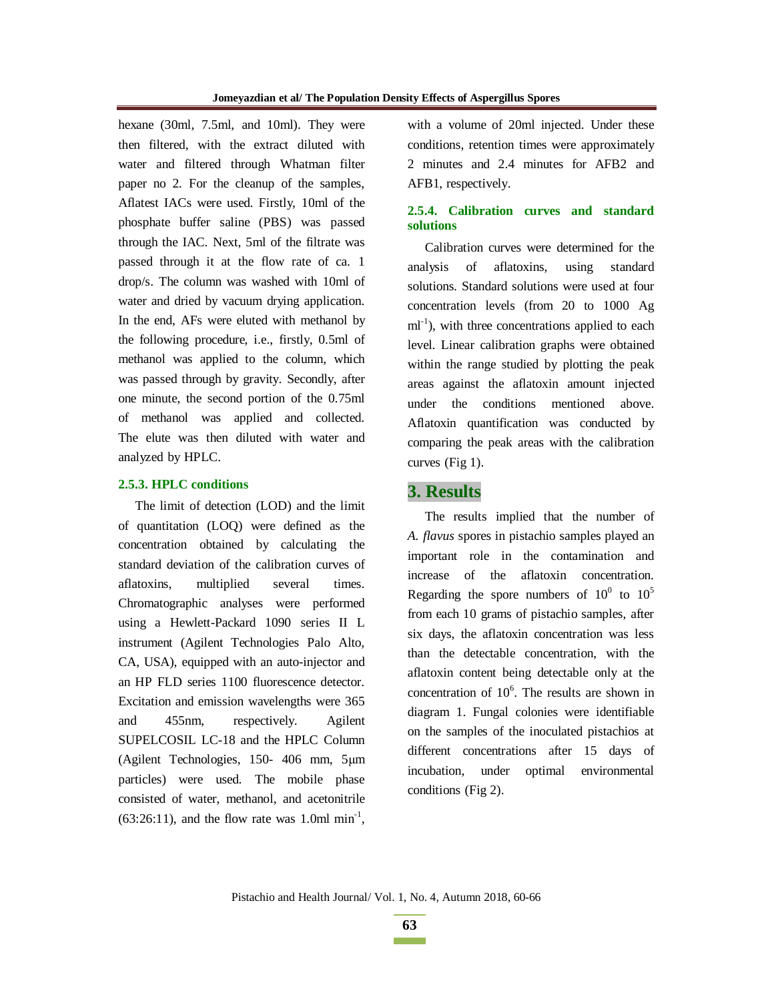hexane (30ml, 7.5ml, and 10ml). They were then filtered, with the extract diluted with water and filtered through Whatman filter paper no 2. For the cleanup of the samples, Aflatest IACs were used. Firstly, 10ml of the phosphate buffer saline (PBS) was passed through the IAC. Next, 5ml of the filtrate was passed through it at the flow rate of ca. 1 drop/s. The column was washed with 10ml of water and dried by vacuum drying application. In the end, AFs were eluted with methanol by the following procedure, i.e., firstly, 0.5ml of methanol was applied to the column, which was passed through by gravity. Secondly, after one minute, the second portion of the 0.75ml of methanol was applied and collected. The elute was then diluted with water and analyzed by HPLC.

#### **2.5.3. HPLC conditions**

The limit of detection (LOD) and the limit of quantitation (LOQ) were defined as the concentration obtained by calculating the standard deviation of the calibration curves of aflatoxins, multiplied several times. Chromatographic analyses were performed using a Hewlett-Packard 1090 series II L instrument (Agilent Technologies Palo Alto, CA, USA), equipped with an auto-injector and an HP FLD series 1100 fluorescence detector. Excitation and emission wavelengths were 365 and 455nm, respectively. Agilent SUPELCOSIL LC-18 and the HPLC Column (Agilent Technologies,  $150-406$  mm,  $5\mu m$ particles) were used. The mobile phase consisted of water, methanol, and acetonitrile  $(63:26:11)$ , and the flow rate was 1.0ml min<sup>-1</sup>, with a volume of 20ml injected. Under these conditions, retention times were approximately 2 minutes and 2.4 minutes for AFB2 and AFB1, respectively.

### **2.5.4. Calibration curves and standard solutions**

Calibration curves were determined for the analysis of aflatoxins, using standard solutions. Standard solutions were used at four concentration levels (from 20 to 1000 Ag  $ml^{-1}$ ), with three concentrations applied to each level. Linear calibration graphs were obtained within the range studied by plotting the peak areas against the aflatoxin amount injected under the conditions mentioned above. Aflatoxin quantification was conducted by comparing the peak areas with the calibration curves (Fig 1).

### **3. Results**

The results implied that the number of *A. flavus* spores in pistachio samples played an important role in the contamination and increase of the aflatoxin concentration. Regarding the spore numbers of  $10^0$  to  $10^5$ from each 10 grams of pistachio samples, after six days, the aflatoxin concentration was less than the detectable concentration, with the aflatoxin content being detectable only at the concentration of  $10<sup>6</sup>$ . The results are shown in diagram 1. Fungal colonies were identifiable on the samples of the inoculated pistachios at different concentrations after 15 days of incubation, under optimal environmental conditions (Fig 2).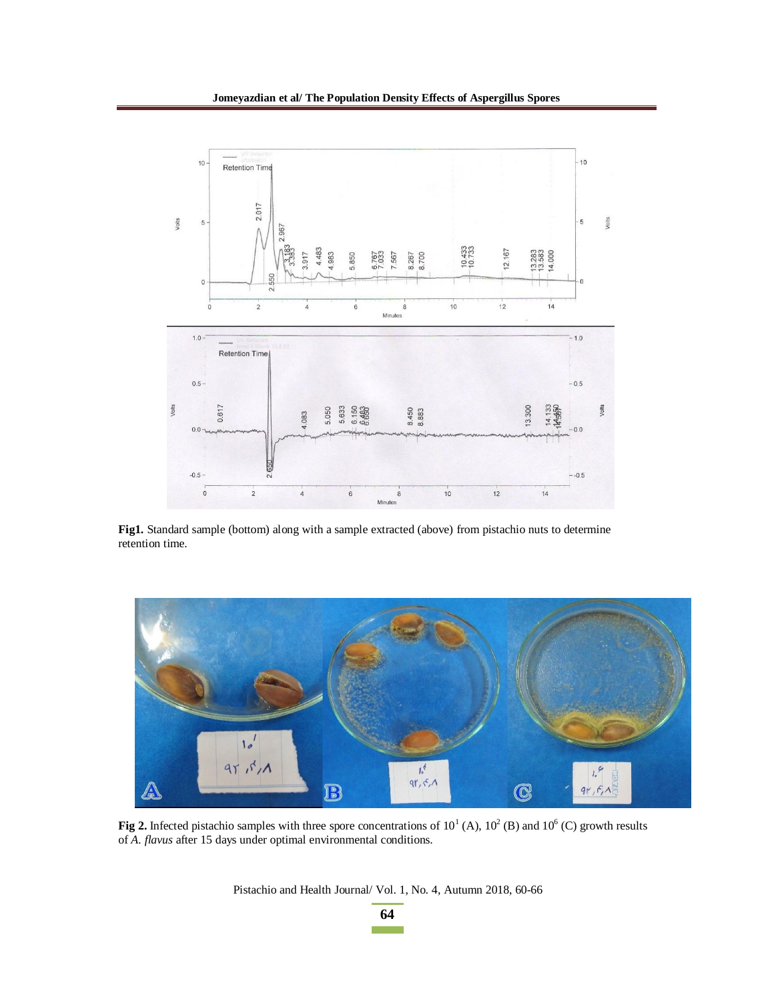

**Fig1.** Standard sample (bottom) along with a sample extracted (above) from pistachio nuts to determine retention time.



**Fig 2.** Infected pistachio samples with three spore concentrations of  $10^1$  (A),  $10^2$  (B) and  $10^6$  (C) growth results of *A. flavus* after 15 days under optimal environmental conditions.

Pistachio and Health Journal/ Vol. 1, No. 4, Autumn 2018, 60-66

**64 The Common**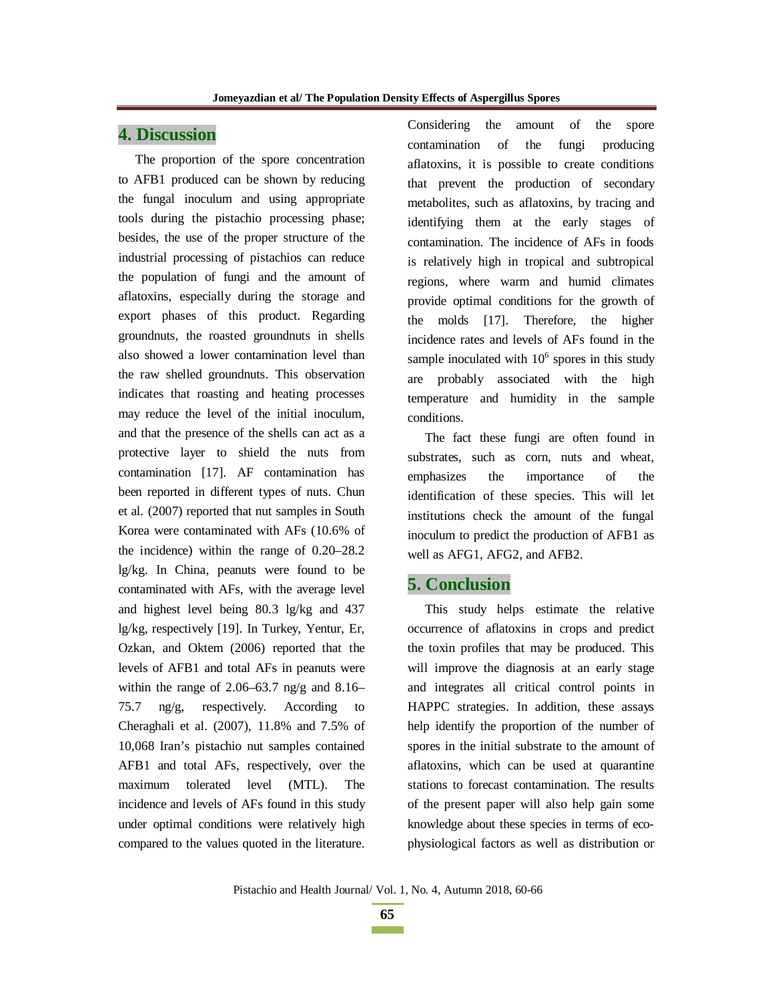### **4. Discussion**

The proportion of the spore concentration to AFB1 produced can be shown by reducing the fungal inoculum and using appropriate tools during the pistachio processing phase; besides, the use of the proper structure of the industrial processing of pistachios can reduce the population of fungi and the amount of aflatoxins, especially during the storage and export phases of this product. Regarding groundnuts, the roasted groundnuts in shells also showed a lower contamination level than the raw shelled groundnuts. This observation indicates that roasting and heating processes may reduce the level of the initial inoculum, and that the presence of the shells can act as a protective layer to shield the nuts from contamination [17]. AF contamination has been reported in different types of nuts. Chun et al. (2007) reported that nut samples in South Korea were contaminated with AFs (10.6% of the incidence) within the range of 0.20–28.2 lg/kg. In China, peanuts were found to be contaminated with AFs, with the average level and highest level being 80.3 lg/kg and 437 lg/kg, respectively [19]. In Turkey, Yentur, Er, Ozkan, and Oktem (2006) reported that the levels of AFB1 and total AFs in peanuts were within the range of  $2.06-63.7$  ng/g and  $8.16-$ 75.7  $\text{ng/g}$ , respectively. According Cheraghali et al. (2007), 11.8% and 7.5% of 10,068 Iran's pistachio nut samples contained AFB1 and total AFs, respectively, over the maximum tolerated level (MTL). The incidence and levels of AFs found in this study under optimal conditions were relatively high compared to the values quoted in the literature.

Considering the amount of the spore contamination of the fungi producing aflatoxins, it is possible to create conditions that prevent the production of secondary metabolites, such as aflatoxins, by tracing and identifying them at the early stages of contamination. The incidence of AFs in foods is relatively high in tropical and subtropical regions, where warm and humid climates provide optimal conditions for the growth of the molds [17]. Therefore, the higher incidence rates and levels of AFs found in the sample inoculated with  $10<sup>6</sup>$  spores in this study are probably associated with the high temperature and humidity in the sample conditions.

The fact these fungi are often found in substrates, such as corn, nuts and wheat, emphasizes the importance of the identification of these species. This will let institutions check the amount of the fungal inoculum to predict the production of AFB1 as well as AFG1, AFG2, and AFB2.

### **5. Conclusion**

This study helps estimate the relative occurrence of aflatoxins in crops and predict the toxin profiles that may be produced. This will improve the diagnosis at an early stage and integrates all critical control points in HAPPC strategies. In addition, these assays help identify the proportion of the number of spores in the initial substrate to the amount of aflatoxins, which can be used at quarantine stations to forecast contamination. The results of the present paper will also help gain some knowledge about these species in terms of ecophysiological factors as well as distribution or